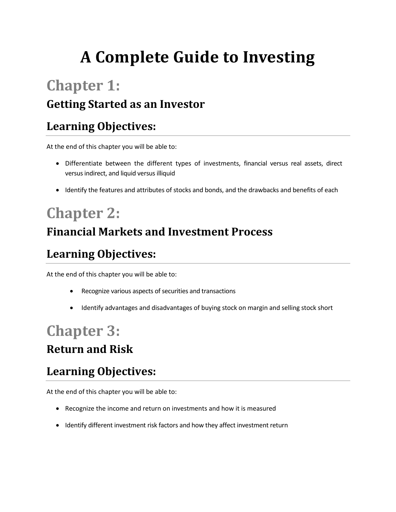# **A Complete Guide to Investing**

## **Chapter 1:**

#### **Getting Started as an Investor**

#### **Learning Objectives:**

At the end of this chapter you will be able to:

- Differentiate between the different types of investments, financial versus real assets, direct versus indirect, and liquid versus illiquid
- Identify the features and attributes of stocks and bonds, and the drawbacks and benefits of each

# **Chapter 2:**

#### **Financial Markets and Investment Process**

### **Learning Objectives:**

At the end of this chapter you will be able to:

- Recognize various aspects of securities and transactions
- Identify advantages and disadvantages of buying stock on margin and selling stock short

### **Chapter 3: Return and Risk**

#### **Learning Objectives:**

At the end of this chapter you will be able to:

- Recognize the income and return on investments and how it is measured
- Identify different investment risk factors and how they affect investment return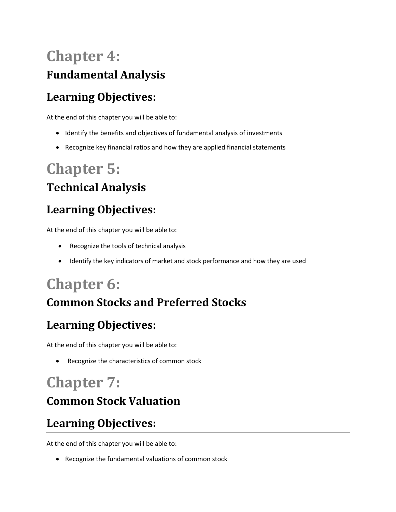## **Chapter 4: Fundamental Analysis**

### **Learning Objectives:**

At the end of this chapter you will be able to:

- Identify the benefits and objectives of fundamental analysis of investments
- Recognize key financial ratios and how they are applied financial statements

## **Chapter 5:**

#### **Technical Analysis**

### **Learning Objectives:**

At the end of this chapter you will be able to:

- Recognize the tools of technical analysis
- Identify the key indicators of market and stock performance and how they are used

## **Chapter 6:**

#### **Common Stocks and Preferred Stocks**

#### **Learning Objectives:**

At the end of this chapter you will be able to:

• Recognize the characteristics of common stock

## **Chapter 7:**

#### **Common Stock Valuation**

### **Learning Objectives:**

At the end of this chapter you will be able to:

Recognize the fundamental valuations of common stock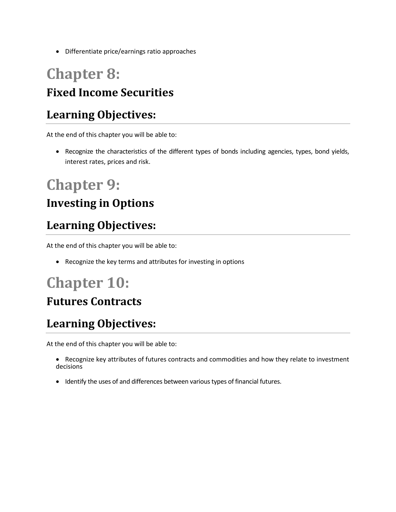Differentiate price/earnings ratio approaches

### **Chapter 8: Fixed Income Securities**

#### **Learning Objectives:**

At the end of this chapter you will be able to:

• Recognize the characteristics of the different types of bonds including agencies, types, bond yields, interest rates, prices and risk.

## **Chapter 9:**

#### **Investing in Options**

#### **Learning Objectives:**

At the end of this chapter you will be able to:

Recognize the key terms and attributes for investing in options

## **Chapter 10:**

#### **Futures Contracts**

#### **Learning Objectives:**

At the end of this chapter you will be able to:

- Recognize key attributes of futures contracts and commodities and how they relate to investment decisions
- Identify the uses of and differences between various types of financial futures.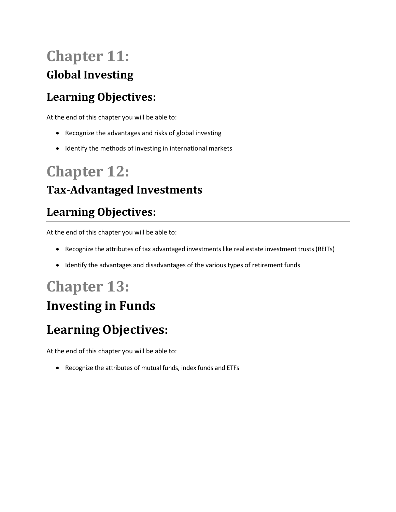## **Chapter 11: Global Investing**

#### **Learning Objectives:**

At the end of this chapter you will be able to:

- Recognize the advantages and risks of global investing
- Identify the methods of investing in international markets

## **Chapter 12:**

#### **Tax-Advantaged Investments**

#### **Learning Objectives:**

At the end of this chapter you will be able to:

- Recognize the attributes of tax advantaged investments like real estate investment trusts (REITs)
- Identify the advantages and disadvantages of the various types of retirement funds

## **Chapter 13:**

### **Investing in Funds**

### **Learning Objectives:**

At the end of this chapter you will be able to:

Recognize the attributes of mutual funds, index funds and ETFs